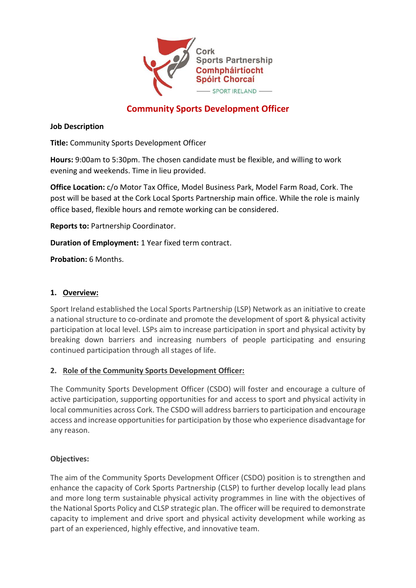

# **Community Sports Development Officer**

### **Job Description**

**Title:** Community Sports Development Officer

**Hours:** 9:00am to 5:30pm. The chosen candidate must be flexible, and willing to work evening and weekends. Time in lieu provided.

**Office Location:** c/o Motor Tax Office, Model Business Park, Model Farm Road, Cork. The post will be based at the Cork Local Sports Partnership main office. While the role is mainly office based, flexible hours and remote working can be considered.

**Reports to:** Partnership Coordinator.

**Duration of Employment:** 1 Year fixed term contract.

**Probation:** 6 Months.

# **1. Overview:**

Sport Ireland established the Local Sports Partnership (LSP) Network as an initiative to create a national structure to co-ordinate and promote the development of sport & physical activity participation at local level. LSPs aim to increase participation in sport and physical activity by breaking down barriers and increasing numbers of people participating and ensuring continued participation through all stages of life.

#### **2. Role of the Community Sports Development Officer:**

The Community Sports Development Officer (CSDO) will foster and encourage a culture of active participation, supporting opportunities for and access to sport and physical activity in local communities across Cork. The CSDO will address barriers to participation and encourage access and increase opportunities for participation by those who experience disadvantage for any reason.

#### **Objectives:**

The aim of the Community Sports Development Officer (CSDO) position is to strengthen and enhance the capacity of Cork Sports Partnership (CLSP) to further develop locally lead plans and more long term sustainable physical activity programmes in line with the objectives of the National Sports Policy and CLSP strategic plan. The officer will be required to demonstrate capacity to implement and drive sport and physical activity development while working as part of an experienced, highly effective, and innovative team.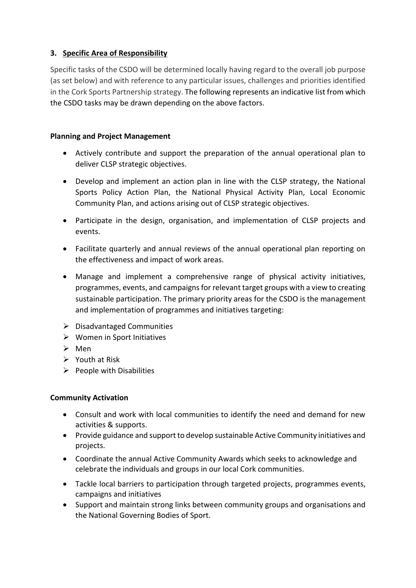# **3. Specific Area of Responsibility**

Specific tasks of the CSDO will be determined locally having regard to the overall job purpose (as set below) and with reference to any particular issues, challenges and priorities identified in the Cork Sports Partnership strategy. The following represents an indicative list from which the CSDO tasks may be drawn depending on the above factors.

### **Planning and Project Management**

- Actively contribute and support the preparation of the annual operational plan to deliver CLSP strategic objectives.
- Develop and implement an action plan in line with the CLSP strategy, the National Sports Policy Action Plan, the National Physical Activity Plan, Local Economic Community Plan, and actions arising out of CLSP strategic objectives.
- Participate in the design, organisation, and implementation of CLSP projects and events.
- Facilitate quarterly and annual reviews of the annual operational plan reporting on the effectiveness and impact of work areas.
- Manage and implement a comprehensive range of physical activity initiatives, programmes, events, and campaignsfor relevant target groups with a view to creating sustainable participation. The primary priority areas for the CSDO is the management and implementation of programmes and initiatives targeting:
- ➢ Disadvantaged Communities
- ➢ Women in Sport Initiatives
- ➢ Men
- $\triangleright$  Youth at Risk
- $\triangleright$  People with Disabilities

# **Community Activation**

- Consult and work with local communities to identify the need and demand for new activities & supports.
- Provide guidance and support to develop sustainable Active Community initiatives and projects.
- Coordinate the annual Active Community Awards which seeks to acknowledge and celebrate the individuals and groups in our local Cork communities.
- Tackle local barriers to participation through targeted projects, programmes events, campaigns and initiatives
- Support and maintain strong links between community groups and organisations and the National Governing Bodies of Sport.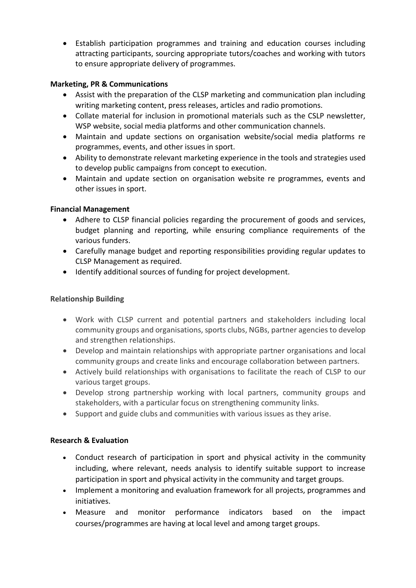• Establish participation programmes and training and education courses including attracting participants, sourcing appropriate tutors/coaches and working with tutors to ensure appropriate delivery of programmes.

# **Marketing, PR & Communications**

- Assist with the preparation of the CLSP marketing and communication plan including writing marketing content, press releases, articles and radio promotions.
- Collate material for inclusion in promotional materials such as the CSLP newsletter, WSP website, social media platforms and other communication channels.
- Maintain and update sections on organisation website/social media platforms re programmes, events, and other issues in sport.
- Ability to demonstrate relevant marketing experience in the tools and strategies used to develop public campaigns from concept to execution.
- Maintain and update section on organisation website re programmes, events and other issues in sport.

# **Financial Management**

- Adhere to CLSP financial policies regarding the procurement of goods and services, budget planning and reporting, while ensuring compliance requirements of the various funders.
- Carefully manage budget and reporting responsibilities providing regular updates to CLSP Management as required.
- Identify additional sources of funding for project development.

# **Relationship Building**

- Work with CLSP current and potential partners and stakeholders including local community groups and organisations, sports clubs, NGBs, partner agenciesto develop and strengthen relationships.
- Develop and maintain relationships with appropriate partner organisations and local community groups and create links and encourage collaboration between partners.
- Actively build relationships with organisations to facilitate the reach of CLSP to our various target groups.
- Develop strong partnership working with local partners, community groups and stakeholders, with a particular focus on strengthening community links.
- Support and guide clubs and communities with various issues as they arise.

# **Research & Evaluation**

- Conduct research of participation in sport and physical activity in the community including, where relevant, needs analysis to identify suitable support to increase participation in sport and physical activity in the community and target groups.
- Implement a monitoring and evaluation framework for all projects, programmes and initiatives.
- Measure and monitor performance indicators based on the impact courses/programmes are having at local level and among target groups.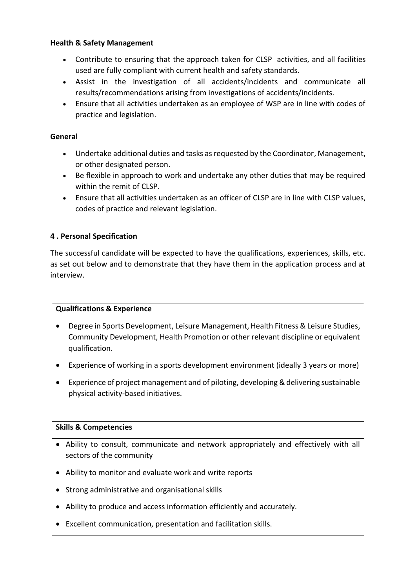### **Health & Safety Management**

- Contribute to ensuring that the approach taken for CLSP activities, and all facilities used are fully compliant with current health and safety standards.
- Assist in the investigation of all accidents/incidents and communicate all results/recommendations arising from investigations of accidents/incidents.
- Ensure that all activities undertaken as an employee of WSP are in line with codes of practice and legislation.

### **General**

- Undertake additional duties and tasks as requested by the Coordinator, Management, or other designated person.
- Be flexible in approach to work and undertake any other duties that may be required within the remit of CLSP.
- Ensure that all activities undertaken as an officer of CLSP are in line with CLSP values, codes of practice and relevant legislation.

# **4 . Personal Specification**

The successful candidate will be expected to have the qualifications, experiences, skills, etc. as set out below and to demonstrate that they have them in the application process and at interview.

# **Qualifications & Experience**

- Degree in Sports Development, Leisure Management, Health Fitness & Leisure Studies, Community Development, Health Promotion or other relevant discipline or equivalent qualification.
- Experience of working in a sports development environment (ideally 3 years or more)
- Experience of project management and of piloting, developing & delivering sustainable physical activity-based initiatives.

#### **Skills & Competencies**

- Ability to consult, communicate and network appropriately and effectively with all sectors of the community
- Ability to monitor and evaluate work and write reports
- Strong administrative and organisational skills
- Ability to produce and access information efficiently and accurately.
- Excellent communication, presentation and facilitation skills.